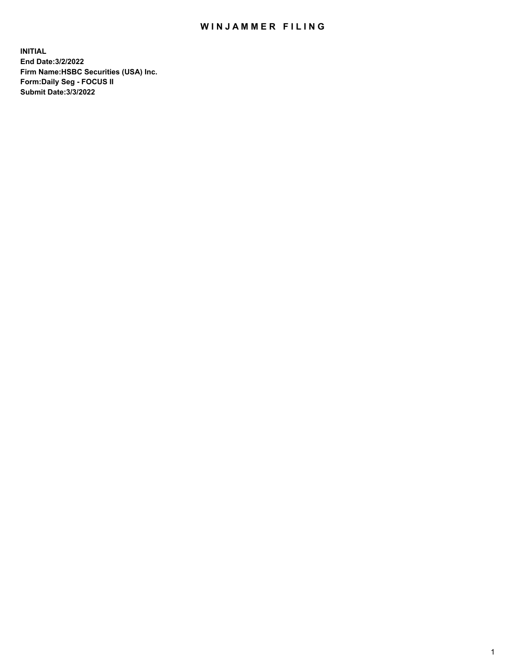## WIN JAMMER FILING

**INITIAL End Date:3/2/2022 Firm Name:HSBC Securities (USA) Inc. Form:Daily Seg - FOCUS II Submit Date:3/3/2022**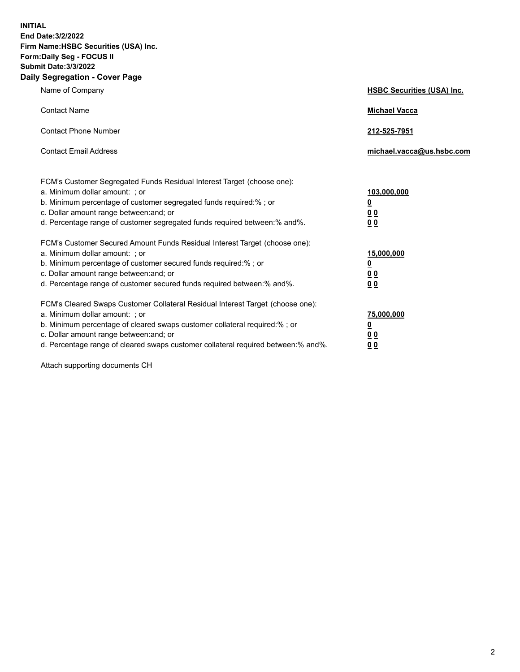**INITIAL End Date:3/2/2022 Firm Name:HSBC Securities (USA) Inc. Form:Daily Seg - FOCUS II Submit Date:3/3/2022 Daily Segregation - Cover Page**

| Name of Company                                                                                                                                                                                                                                                                                                                | <b>HSBC Securities (USA) Inc.</b>               |
|--------------------------------------------------------------------------------------------------------------------------------------------------------------------------------------------------------------------------------------------------------------------------------------------------------------------------------|-------------------------------------------------|
| <b>Contact Name</b>                                                                                                                                                                                                                                                                                                            | <b>Michael Vacca</b>                            |
| <b>Contact Phone Number</b>                                                                                                                                                                                                                                                                                                    | 212-525-7951                                    |
| <b>Contact Email Address</b>                                                                                                                                                                                                                                                                                                   | michael.vacca@us.hsbc.com                       |
| FCM's Customer Segregated Funds Residual Interest Target (choose one):<br>a. Minimum dollar amount: ; or<br>b. Minimum percentage of customer segregated funds required:%; or<br>c. Dollar amount range between: and; or<br>d. Percentage range of customer segregated funds required between:% and%.                          | 103,000,000<br><u>0</u><br>0 <sub>0</sub><br>00 |
| FCM's Customer Secured Amount Funds Residual Interest Target (choose one):<br>a. Minimum dollar amount: ; or<br>b. Minimum percentage of customer secured funds required:%; or<br>c. Dollar amount range between: and; or<br>d. Percentage range of customer secured funds required between:% and%.                            | 15,000,000<br><u>0</u><br>0 <sub>0</sub><br>00  |
| FCM's Cleared Swaps Customer Collateral Residual Interest Target (choose one):<br>a. Minimum dollar amount: ; or<br>b. Minimum percentage of cleared swaps customer collateral required:% ; or<br>c. Dollar amount range between: and; or<br>d. Percentage range of cleared swaps customer collateral required between:% and%. | 75,000,000<br><u>0</u><br><u>00</u><br>00       |

Attach supporting documents CH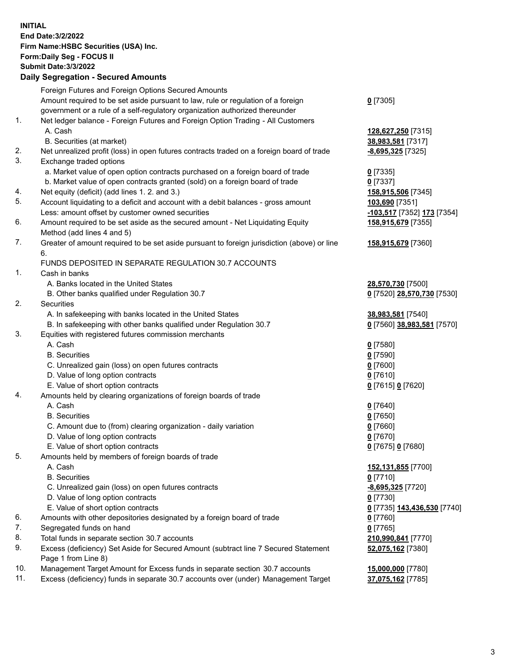**INITIAL End Date:3/2/2022 Firm Name:HSBC Securities (USA) Inc. Form:Daily Seg - FOCUS II Submit Date:3/3/2022 Daily Segregation - Secured Amounts** Foreign Futures and Foreign Options Secured Amounts Amount required to be set aside pursuant to law, rule or regulation of a foreign government or a rule of a self-regulatory organization authorized thereunder **0** [7305] 1. Net ledger balance - Foreign Futures and Foreign Option Trading - All Customers A. Cash **128,627,250** [7315] B. Securities (at market) **38,983,581** [7317] 2. Net unrealized profit (loss) in open futures contracts traded on a foreign board of trade **-8,695,325** [7325] 3. Exchange traded options a. Market value of open option contracts purchased on a foreign board of trade **0** [7335] b. Market value of open contracts granted (sold) on a foreign board of trade **0** [7337] 4. Net equity (deficit) (add lines 1. 2. and 3.) **158,915,506** [7345] 5. Account liquidating to a deficit and account with a debit balances - gross amount **103,690** [7351] Less: amount offset by customer owned securities **-103,517** [7352] **173** [7354] 6. Amount required to be set aside as the secured amount - Net Liquidating Equity Method (add lines 4 and 5) **158,915,679** [7355] 7. Greater of amount required to be set aside pursuant to foreign jurisdiction (above) or line 6. **158,915,679** [7360] FUNDS DEPOSITED IN SEPARATE REGULATION 30.7 ACCOUNTS 1. Cash in banks A. Banks located in the United States **28,570,730** [7500] B. Other banks qualified under Regulation 30.7 **0** [7520] **28,570,730** [7530] 2. Securities A. In safekeeping with banks located in the United States **38,983,581** [7540] B. In safekeeping with other banks qualified under Regulation 30.7 **0** [7560] **38,983,581** [7570] 3. Equities with registered futures commission merchants A. Cash **0** [7580] B. Securities **0** [7590] C. Unrealized gain (loss) on open futures contracts **0** [7600] D. Value of long option contracts **0** [7610] E. Value of short option contracts **0** [7615] **0** [7620] 4. Amounts held by clearing organizations of foreign boards of trade A. Cash **0** [7640] B. Securities **0** [7650] C. Amount due to (from) clearing organization - daily variation **0** [7660] D. Value of long option contracts **0** [7670] E. Value of short option contracts **0** [7675] **0** [7680] 5. Amounts held by members of foreign boards of trade A. Cash **152,131,855** [7700] B. Securities **0** [7710] C. Unrealized gain (loss) on open futures contracts **-8,695,325** [7720] D. Value of long option contracts **0** [7730] E. Value of short option contracts **0** [7735] **143,436,530** [7740] 6. Amounts with other depositories designated by a foreign board of trade **0** [7760] 7. Segregated funds on hand **0** [7765] 8. Total funds in separate section 30.7 accounts **210,990,841** [7770] 9. Excess (deficiency) Set Aside for Secured Amount (subtract line 7 Secured Statement Page 1 from Line 8) **52,075,162** [7380] 10. Management Target Amount for Excess funds in separate section 30.7 accounts **15,000,000** [7780] 11. Excess (deficiency) funds in separate 30.7 accounts over (under) Management Target **37,075,162** [7785]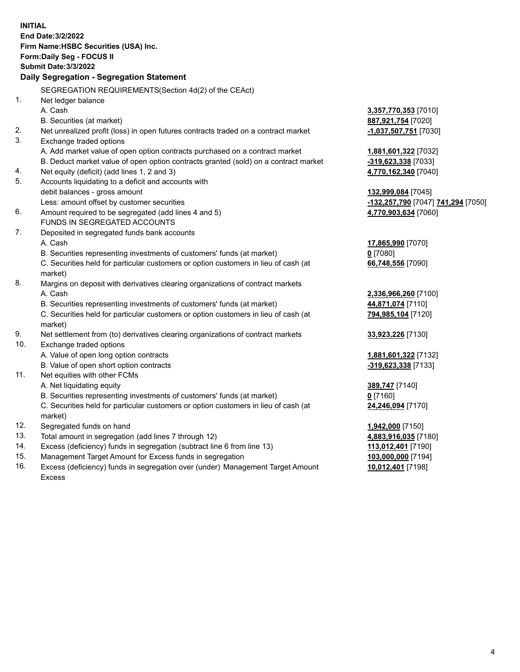| <b>INITIAL</b> | End Date: 3/2/2022<br>Firm Name: HSBC Securities (USA) Inc.<br>Form: Daily Seg - FOCUS II<br><b>Submit Date: 3/3/2022</b><br>Daily Segregation - Segregation Statement |                                                        |
|----------------|------------------------------------------------------------------------------------------------------------------------------------------------------------------------|--------------------------------------------------------|
| 1.             | SEGREGATION REQUIREMENTS(Section 4d(2) of the CEAct)<br>Net ledger balance                                                                                             |                                                        |
|                | A. Cash                                                                                                                                                                | 3,357,770,353 [7010]                                   |
|                | B. Securities (at market)                                                                                                                                              | 887,921,754 [7020]                                     |
| 2.<br>3.       | Net unrealized profit (loss) in open futures contracts traded on a contract market<br>Exchange traded options                                                          | -1,037,507,751 [7030]                                  |
|                | A. Add market value of open option contracts purchased on a contract market                                                                                            | 1,881,601,322 [7032]                                   |
|                | B. Deduct market value of open option contracts granted (sold) on a contract market                                                                                    | -319,623,338 [7033]                                    |
| 4.             | Net equity (deficit) (add lines 1, 2 and 3)                                                                                                                            | 4,770,162,340 [7040]                                   |
| 5.             | Accounts liquidating to a deficit and accounts with                                                                                                                    |                                                        |
|                | debit balances - gross amount                                                                                                                                          | 132,999,084 [7045]                                     |
|                | Less: amount offset by customer securities                                                                                                                             | <mark>-132,257,790</mark> [7047] <b>741,294</b> [7050] |
| 6.             | Amount required to be segregated (add lines 4 and 5)                                                                                                                   | 4,770,903,634 [7060]                                   |
|                | FUNDS IN SEGREGATED ACCOUNTS                                                                                                                                           |                                                        |
| 7.             | Deposited in segregated funds bank accounts                                                                                                                            |                                                        |
|                | A. Cash                                                                                                                                                                | 17,865,990 [7070]                                      |
|                | B. Securities representing investments of customers' funds (at market)                                                                                                 | $0$ [7080]                                             |
|                | C. Securities held for particular customers or option customers in lieu of cash (at                                                                                    | 66,748,556 [7090]                                      |
|                | market)                                                                                                                                                                |                                                        |
| 8.             | Margins on deposit with derivatives clearing organizations of contract markets                                                                                         |                                                        |
|                | A. Cash                                                                                                                                                                | 2,336,966,260 [7100]                                   |
|                | B. Securities representing investments of customers' funds (at market)                                                                                                 | 44,871,074 [7110]                                      |
|                | C. Securities held for particular customers or option customers in lieu of cash (at                                                                                    | 794,985,104 [7120]                                     |
|                | market)                                                                                                                                                                |                                                        |
| 9.             | Net settlement from (to) derivatives clearing organizations of contract markets                                                                                        | 33,923,226 [7130]                                      |
| 10.            | Exchange traded options                                                                                                                                                |                                                        |
|                | A. Value of open long option contracts                                                                                                                                 | 1,881,601,322 [7132]                                   |
|                | B. Value of open short option contracts                                                                                                                                | -319,623,338 [7133]                                    |
| 11.            | Net equities with other FCMs                                                                                                                                           |                                                        |
|                | A. Net liquidating equity                                                                                                                                              | 389,747 [7140]                                         |
|                | B. Securities representing investments of customers' funds (at market)                                                                                                 | $0$ [7160]                                             |
|                | C. Securities held for particular customers or option customers in lieu of cash (at                                                                                    | 24,246,094 [7170]                                      |
|                | market)                                                                                                                                                                |                                                        |
| 12.            | Segregated funds on hand                                                                                                                                               | 1,942,000 [7150]                                       |
| 13.            | Total amount in segregation (add lines 7 through 12)                                                                                                                   | 4,883,916,035 [7180]                                   |
| 14.            | Excess (deficiency) funds in segregation (subtract line 6 from line 13)                                                                                                | 113,012,401 [7190]                                     |
| 15.            | Management Target Amount for Excess funds in segregation                                                                                                               | 103,000,000 [7194]                                     |
| 16.            | Excess (deficiency) funds in segregation over (under) Management Target Amount                                                                                         | 10,012,401 [7198]                                      |
|                | Excess                                                                                                                                                                 |                                                        |